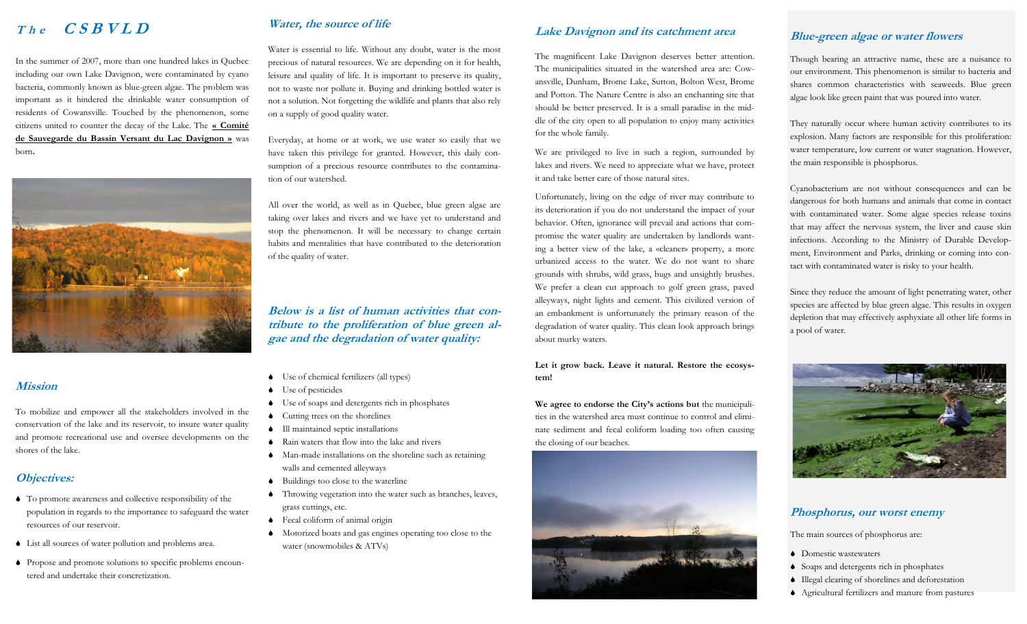In the summer of 2007, more than one hundred lakes in Quebec including our own Lake Davignon, were contaminated by cyano bacteria, commonly known as blue-green algae. The problem was important as it hindered the drinkable water consumption of residents of Cowansville. Touched by the phenomenon, some citizens united to counter the decay of the Lake. The **« Comité de Sauvegarde du Bassin Versant du Lac Davignon »** was born**.** 



### **Mission**

To mobilize and empower all the stakeholders involved in the conservation of the lake and its reservoir, to insure water quality and promote recreational use and oversee developments on the shores of the lake.

# **Objectives:**

- To promote awareness and collective responsibility of the population in regards to the importance to safeguard the water resources of our reservoir.
- List all sources of water pollution and problems area.
- Propose and promote solutions to specific problems encountered and undertake their concretization.

# **The CSBVLD Water, the source of life**

Water is essential to life. Without any doubt, water is the most precious of natural resources. We are depending on it for health, leisure and quality of life. It is important to preserve its quality, not to waste nor pollute it. Buying and drinking bottled water is not a solution. Not forgetting the wildlife and plants that also rely on a supply of good quality water.

Everyday, at home or at work, we use water so easily that we have taken this privilege for granted. However, this daily consumption of a precious resource contributes to the contamination of our watershed.

All over the world, as well as in Quebec, blue green algae are taking over lakes and rivers and we have yet to understand and stop the phenomenon. It will be necessary to change certain habits and mentalities that have contributed to the deterioration of the quality of water.

**Below is a list of human activities that contribute to the proliferation of blue green algae and the degradation of water quality:**

- Use of chemical fertilizers (all types)
- Use of pesticides
- Use of soaps and detergents rich in phosphates
- Cutting trees on the shorelines
- Ill maintained septic installations
- Rain waters that flow into the lake and rivers
- Man-made installations on the shoreline such as retaining walls and cemented alleyways
- Buildings too close to the waterline
- Throwing vegetation into the water such as branches, leaves, grass cuttings, etc.
- Fecal coliform of animal origin
- Motorized boats and gas engines operating too close to the water (snowmobiles & ATVs)

# **Lake Davignon and its catchment area**

The magnificent Lake Davignon deserves better attention. The municipalities situated in the watershed area are: Cowansville, Dunham, Brome Lake, Sutton, Bolton West, Brome and Potton. The Nature Centre is also an enchanting site that should be better preserved. It is a small paradise in the middle of the city open to all population to enjoy many activities for the whole family.

We are privileged to live in such a region, surrounded by lakes and rivers. We need to appreciate what we have, protect it and take better care of those natural sites.

Unfortunately, living on the edge of river may contribute to its deterioration if you do not understand the impact of your behavior. Often, ignorance will prevail and actions that compromise the water quality are undertaken by landlords wanting a better view of the lake, a «cleaner» property, a more urbanized access to the water. We do not want to share grounds with shrubs, wild grass, bugs and unsightly brushes. We prefer a clean cut approach to golf green grass, paved alleyways, night lights and cement. This civilized version of an embankment is unfortunately the primary reason of the degradation of water quality. This clean look approach brings about murky waters.

**Let it grow back. Leave it natural. Restore the ecosystem!**

**We agree to endorse the City's actions but** the municipalities in the watershed area must continue to control and eliminate sediment and fecal coliform loading too often causing the closing of our beaches.



# **Blue-green algae or water flowers**

Though bearing an attractive name, these are a nuisance to our environment. This phenomenon is similar to bacteria and shares common characteristics with seaweeds. Blue green algae look like green paint that was poured into water.

They naturally occur where human activity contributes to its explosion. Many factors are responsible for this proliferation: water temperature, low current or water stagnation. However, the main responsible is phosphorus.

Cyanobacterium are not without consequences and can be dangerous for both humans and animals that come in contact with contaminated water. Some algae species release toxins that may affect the nervous system, the liver and cause skin infections. According to the Ministry of Durable Development, Environment and Parks, drinking or coming into contact with contaminated water is risky to your health.

Since they reduce the amount of light penetrating water, other species are affected by blue green algae. This results in oxygen depletion that may effectively asphyxiate all other life forms in a pool of water.



#### **Phosphorus, our worst enemy**

The main sources of phosphorus are:

- Domestic wastewaters
- Soaps and detergents rich in phosphates
- Illegal clearing of shorelines and deforestation
- Agricultural fertilizers and manure from pastures